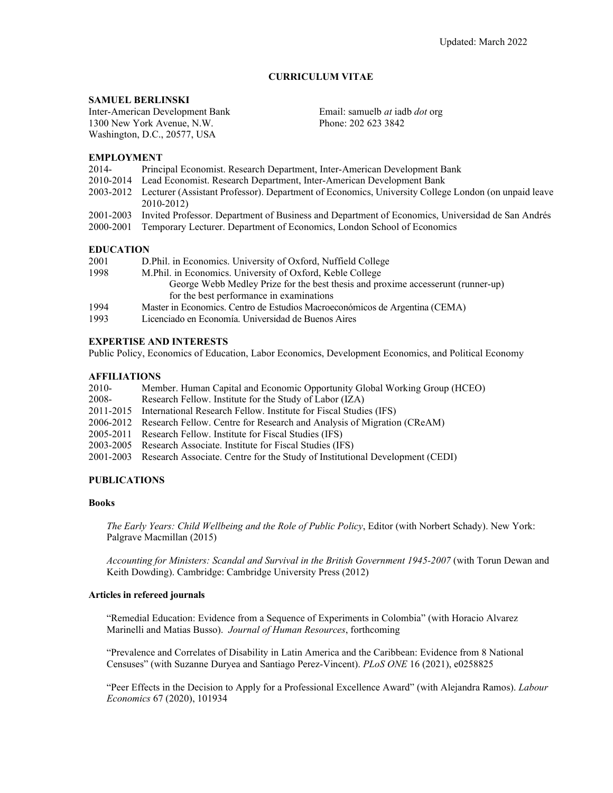# **CURRICULUM VITAE**

#### **SAMUEL BERLINSKI**

Inter-American Development Bank 1300 New York Avenue, N.W. Washington, D.C., 20577, USA

Email: samuelb *at* iadb *dot* org Phone: 202 623 3842

### **EMPLOYMENT**

- 2014- Principal Economist. Research Department, Inter-American Development Bank
- 2010-2014 Lead Economist. Research Department, Inter-American Development Bank
- 2003-2012 Lecturer (Assistant Professor). Department of Economics, University College London (on unpaid leave 2010-2012)
- 2001-2003 Invited Professor. Department of Business and Department of Economics, Universidad de San Andrés
- 2000-2001 Temporary Lecturer. Department of Economics, London School of Economics

### **EDUCATION**

| 2001 | D. Phil. in Economics. University of Oxford, Nuffield College                    |
|------|----------------------------------------------------------------------------------|
| 1998 | M.Phil. in Economics. University of Oxford, Keble College                        |
|      | George Webb Medley Prize for the best thesis and proxime accesserunt (runner-up) |
|      | for the best performance in examinations                                         |
| 1994 | Master in Economics. Centro de Estudios Macroeconómicos de Argentina (CEMA)      |
| 1993 | Licenciado en Economía. Universidad de Buenos Aires                              |
|      |                                                                                  |

### **EXPERTISE AND INTERESTS**

Public Policy, Economics of Education, Labor Economics, Development Economics, and Political Economy

### **AFFILIATIONS**

| 2010- | Member. Human Capital and Economic Opportunity Global Working Group (HCEO)             |
|-------|----------------------------------------------------------------------------------------|
| 2008- | Research Fellow. Institute for the Study of Labor (IZA)                                |
|       | 2011-2015 International Research Fellow. Institute for Fiscal Studies (IFS)            |
|       | 2006-2012 Research Fellow. Centre for Research and Analysis of Migration (CReAM)       |
|       | 2005-2011 Research Fellow. Institute for Fiscal Studies (IFS)                          |
|       | 2003-2005 Research Associate. Institute for Fiscal Studies (IFS)                       |
|       | 2001-2003 Research Associate. Centre for the Study of Institutional Development (CEDI) |
|       |                                                                                        |

# **PUBLICATIONS**

#### **Books**

*The Early Years: Child Wellbeing and the Role of Public Policy*, Editor (with Norbert Schady). New York: Palgrave Macmillan (2015)

*Accounting for Ministers: Scandal and Survival in the British Government 1945-2007* (with Torun Dewan and Keith Dowding). Cambridge: Cambridge University Press (2012)

### **Articles in refereed journals**

"Remedial Education: Evidence from a Sequence of Experiments in Colombia" (with Horacio Alvarez Marinelli and Matias Busso). *Journal of Human Resources*, forthcoming

"Prevalence and Correlates of Disability in Latin America and the Caribbean: Evidence from 8 National Censuses" (with Suzanne Duryea and Santiago Perez-Vincent). *PLoS ONE* 16 (2021), e0258825

"Peer Effects in the Decision to Apply for a Professional Excellence Award" (with Alejandra Ramos). *Labour Economics* 67 (2020), 101934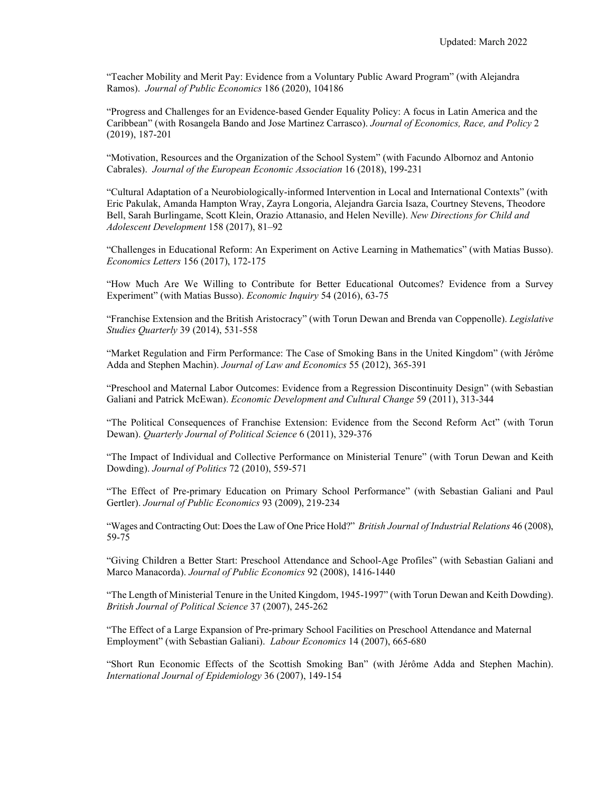"Teacher Mobility and Merit Pay: Evidence from a Voluntary Public Award Program" (with Alejandra Ramos). *Journal of Public Economics* 186 (2020), 104186

"Progress and Challenges for an Evidence-based Gender Equality Policy: A focus in Latin America and the Caribbean" (with Rosangela Bando and Jose Martinez Carrasco). *Journal of Economics, Race, and Policy* 2 (2019), 187-201

"Motivation, Resources and the Organization of the School System" (with Facundo Albornoz and Antonio Cabrales). *Journal of the European Economic Association* 16 (2018), 199-231

"Cultural Adaptation of a Neurobiologically-informed Intervention in Local and International Contexts" (with Eric Pakulak, Amanda Hampton Wray, Zayra Longoria, Alejandra Garcia Isaza, Courtney Stevens, Theodore Bell, Sarah Burlingame, Scott Klein, Orazio Attanasio, and Helen Neville). *New Directions for Child and Adolescent Development* 158 (2017), 81–92

"Challenges in Educational Reform: An Experiment on Active Learning in Mathematics" (with Matias Busso). *Economics Letters* 156 (2017), 172-175

"How Much Are We Willing to Contribute for Better Educational Outcomes? Evidence from a Survey Experiment" (with Matias Busso). *Economic Inquiry* 54 (2016), 63-75

"Franchise Extension and the British Aristocracy" (with Torun Dewan and Brenda van Coppenolle). *Legislative Studies Quarterly* 39 (2014), 531-558

"Market Regulation and Firm Performance: The Case of Smoking Bans in the United Kingdom" (with Jérôme Adda and Stephen Machin). *Journal of Law and Economics* 55 (2012), 365-391

"Preschool and Maternal Labor Outcomes: Evidence from a Regression Discontinuity Design" (with Sebastian Galiani and Patrick McEwan). *Economic Development and Cultural Change* 59 (2011), 313-344

"The Political Consequences of Franchise Extension: Evidence from the Second Reform Act" (with Torun Dewan). *Quarterly Journal of Political Science* 6 (2011), 329-376

"The Impact of Individual and Collective Performance on Ministerial Tenure" (with Torun Dewan and Keith Dowding). *Journal of Politics* 72 (2010), 559-571

"The Effect of Pre-primary Education on Primary School Performance" (with Sebastian Galiani and Paul Gertler). *Journal of Public Economics* 93 (2009), 219-234

"Wages and Contracting Out: Does the Law of One Price Hold?" *British Journal of Industrial Relations* 46 (2008), 59-75

"Giving Children a Better Start: Preschool Attendance and School-Age Profiles" (with Sebastian Galiani and Marco Manacorda). *Journal of Public Economics* 92 (2008), 1416-1440

"The Length of Ministerial Tenure in the United Kingdom, 1945-1997" (with Torun Dewan and Keith Dowding). *British Journal of Political Science* 37 (2007), 245-262

"The Effect of a Large Expansion of Pre-primary School Facilities on Preschool Attendance and Maternal Employment" (with Sebastian Galiani). *Labour Economics* 14 (2007), 665-680

"Short Run Economic Effects of the Scottish Smoking Ban" (with Jérôme Adda and Stephen Machin). *International Journal of Epidemiology* 36 (2007), 149-154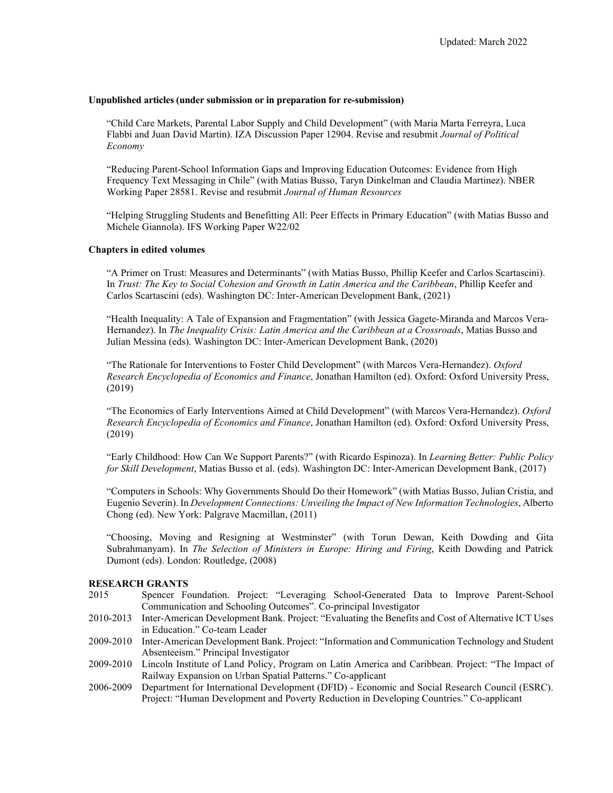#### **Unpublished articles (under submission or in preparation for re-submission)**

"Child Care Markets, Parental Labor Supply and Child Development" (with Maria Marta Ferreyra, Luca Flabbi and Juan David Martin). IZA Discussion Paper 12904. Revise and resubmit *Journal of Political Economy*

"Reducing Parent-School Information Gaps and Improving Education Outcomes: Evidence from High Frequency Text Messaging in Chile" (with Matias Busso, Taryn Dinkelman and Claudia Martinez). NBER Working Paper 28581. Revise and resubmit *Journal of Human Resources*

"Helping Struggling Students and Benefitting All: Peer Effects in Primary Education" (with Matias Busso and Michele Giannola). IFS Working Paper W22/02

### **Chapters in edited volumes**

"A Primer on Trust: Measures and Determinants" (with Matias Busso, Phillip Keefer and Carlos Scartascini). In *Trust: The Key to Social Cohesion and Growth in Latin America and the Caribbean*, Phillip Keefer and Carlos Scartascini (eds). Washington DC: Inter-American Development Bank, (2021)

"Health Inequality: A Tale of Expansion and Fragmentation" (with Jessica Gagete-Miranda and Marcos Vera-Hernandez). In *The Inequality Crisis: Latin America and the Caribbean at a Crossroads*, Matias Busso and Julian Messina (eds). Washington DC: Inter-American Development Bank, (2020)

"The Rationale for Interventions to Foster Child Development" (with Marcos Vera-Hernandez). *Oxford Research Encyclopedia of Economics and Finance*, Jonathan Hamilton (ed). Oxford: Oxford University Press, (2019)

"The Economics of Early Interventions Aimed at Child Development" (with Marcos Vera-Hernandez). *Oxford Research Encyclopedia of Economics and Finance*, Jonathan Hamilton (ed). Oxford: Oxford University Press, (2019)

"Early Childhood: How Can We Support Parents?" (with Ricardo Espinoza). In *Learning Better: Public Policy for Skill Development*, Matias Busso et al. (eds). Washington DC: Inter-American Development Bank, (2017)

"Computers in Schools: Why Governments Should Do their Homework" (with Matias Busso, Julian Cristia, and Eugenio Severin). In *Development Connections: Unveiling the Impact of New Information Technologies*, Alberto Chong (ed). New York: Palgrave Macmillan, (2011)

"Choosing, Moving and Resigning at Westminster" (with Torun Dewan, Keith Dowding and Gita Subrahmanyam). In *The Selection of Ministers in Europe: Hiring and Firing*, Keith Dowding and Patrick Dumont (eds). London: Routledge, (2008)

#### **RESEARCH GRANTS**

- 2015 Spencer Foundation. Project: "Leveraging School-Generated Data to Improve Parent-School Communication and Schooling Outcomes". Co-principal Investigator
- 2010-2013 Inter-American Development Bank. Project: "Evaluating the Benefits and Cost of Alternative ICT Uses in Education." Co-team Leader
- 2009-2010 Inter-American Development Bank. Project: "Information and Communication Technology and Student Absenteeism." Principal Investigator
- 2009-2010 Lincoln Institute of Land Policy, Program on Latin America and Caribbean. Project: "The Impact of Railway Expansion on Urban Spatial Patterns." Co-applicant
- 2006-2009 Department for International Development (DFID) Economic and Social Research Council (ESRC). Project: "Human Development and Poverty Reduction in Developing Countries." Co-applicant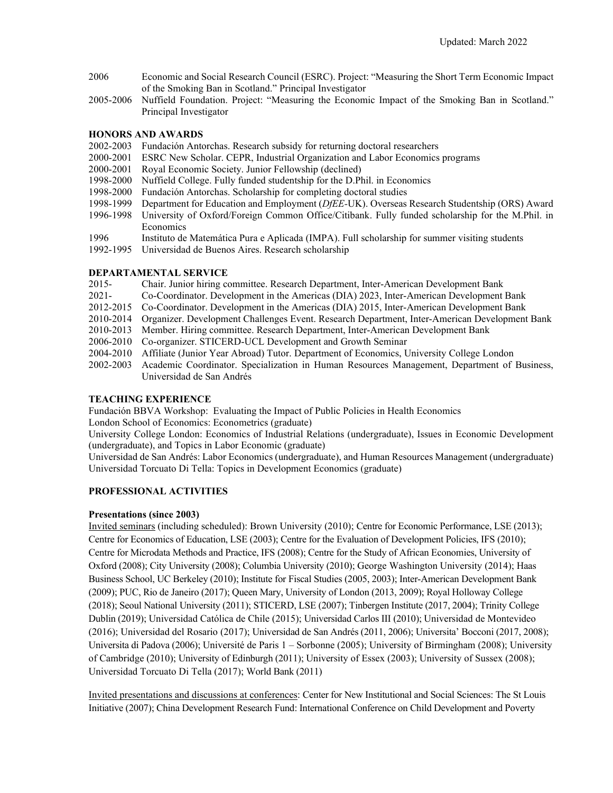- 2006 Economic and Social Research Council (ESRC). Project: "Measuring the Short Term Economic Impact of the Smoking Ban in Scotland." Principal Investigator
- 2005-2006 Nuffield Foundation. Project: "Measuring the Economic Impact of the Smoking Ban in Scotland." Principal Investigator

# **HONORS AND AWARDS**

- 2002-2003 Fundación Antorchas. Research subsidy for returning doctoral researchers
- 2000-2001 ESRC New Scholar. CEPR, Industrial Organization and Labor Economics programs
- 2000-2001 Royal Economic Society. Junior Fellowship (declined)
- 1998-2000 Nuffield College. Fully funded studentship for the D.Phil. in Economics
- 1998-2000 Fundación Antorchas. Scholarship for completing doctoral studies
- 1998-1999 Department for Education and Employment (*DfEE-*UK). Overseas Research Studentship (ORS) Award
- 1996-1998 University of Oxford/Foreign Common Office/Citibank. Fully funded scholarship for the M.Phil. in Economics
- 1996 Instituto de Matemática Pura e Aplicada (IMPA). Full scholarship for summer visiting students
- 1992-1995 Universidad de Buenos Aires. Research scholarship

# **DEPARTAMENTAL SERVICE**

- 2015- Chair. Junior hiring committee. Research Department, Inter-American Development Bank
- 2021- Co-Coordinator. Development in the Americas (DIA) 2023, Inter-American Development Bank
- 2012-2015 Co-Coordinator. Development in the Americas (DIA) 2015, Inter-American Development Bank
- 2010-2014 Organizer. Development Challenges Event. Research Department, Inter-American Development Bank
- 2010-2013 Member. Hiring committee. Research Department, Inter-American Development Bank
- 2006-2010 Co-organizer. STICERD-UCL Development and Growth Seminar
- 2004-2010 Affiliate (Junior Year Abroad) Tutor. Department of Economics, University College London
- 2002-2003 Academic Coordinator. Specialization in Human Resources Management, Department of Business, Universidad de San Andrés

# **TEACHING EXPERIENCE**

Fundación BBVA Workshop: Evaluating the Impact of Public Policies in Health Economics

London School of Economics: Econometrics (graduate)

University College London: Economics of Industrial Relations (undergraduate), Issues in Economic Development (undergraduate), and Topics in Labor Economic (graduate)

Universidad de San Andrés: Labor Economics (undergraduate), and Human Resources Management (undergraduate) Universidad Torcuato Di Tella: Topics in Development Economics (graduate)

# **PROFESSIONAL ACTIVITIES**

# **Presentations (since 2003)**

Invited seminars (including scheduled): Brown University (2010); Centre for Economic Performance, LSE (2013); Centre for Economics of Education, LSE (2003); Centre for the Evaluation of Development Policies, IFS (2010); Centre for Microdata Methods and Practice, IFS (2008); Centre for the Study of African Economies, University of Oxford (2008); City University (2008); Columbia University (2010); George Washington University (2014); Haas Business School, UC Berkeley (2010); Institute for Fiscal Studies (2005, 2003); Inter-American Development Bank (2009); PUC, Rio de Janeiro (2017); Queen Mary, University of London (2013, 2009); Royal Holloway College (2018); Seoul National University (2011); STICERD, LSE (2007); Tinbergen Institute (2017, 2004); Trinity College Dublin (2019); Universidad Católica de Chile (2015); Universidad Carlos III (2010); Universidad de Montevideo (2016); Universidad del Rosario (2017); Universidad de San Andrés (2011, 2006); Universita' Bocconi (2017, 2008); Universita di Padova (2006); Université de Paris 1 – Sorbonne (2005); University of Birmingham (2008); University of Cambridge (2010); University of Edinburgh (2011); University of Essex (2003); University of Sussex (2008); Universidad Torcuato Di Tella (2017); World Bank (2011)

Invited presentations and discussions at conferences: Center for New Institutional and Social Sciences: The St Louis Initiative (2007); China Development Research Fund: International Conference on Child Development and Poverty